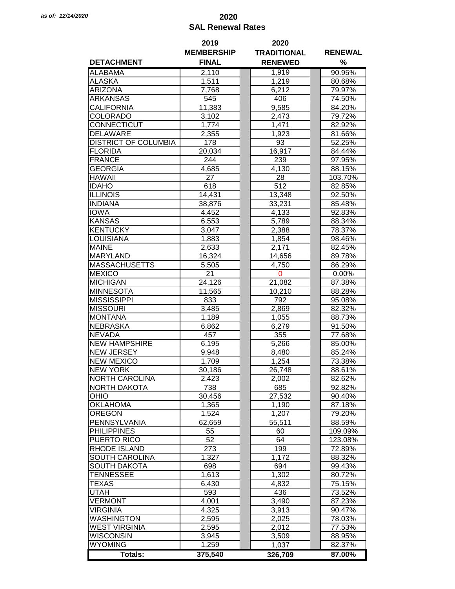## *as of: 12/14/2020* **2020 SAL Renewal Rates**

|                             | 2019              | 2020               |                |
|-----------------------------|-------------------|--------------------|----------------|
|                             | <b>MEMBERSHIP</b> | <b>TRADITIONAL</b> | <b>RENEWAL</b> |
| <b>DETACHMENT</b>           | <b>FINAL</b>      | <b>RENEWED</b>     | %              |
| <b>ALABAMA</b>              | 2,110             | 1,919              | 90.95%         |
| <b>ALASKA</b>               | 1,511             | 1,219              | 80.68%         |
| <b>ARIZONA</b>              | 7,768             | 6,212              | 79.97%         |
| ARKANSAS                    | 545               | 406                | 74.50%         |
| CALIFORNIA                  | 11,383            | 9,585              | 84.20%         |
| COLORADO                    | 3,102             | 2,473              | 79.72%         |
| CONNECTICUT                 | 1,774             | 1,471              | 82.92%         |
| <b>DELAWARE</b>             | 2,355             | 1,923              | 81.66%         |
| <b>DISTRICT OF COLUMBIA</b> | 178               | 93                 | 52.25%         |
|                             |                   | 16,917             |                |
| <b>FLORIDA</b>              | 20,034            |                    | 84.44%         |
| <b>FRANCE</b>               | 244               | 239                | 97.95%         |
| <b>GEORGIA</b>              | 4,685             | 4,130              | 88.15%         |
| <b>HAWAII</b>               | 27                | 28                 | 103.70%        |
| <b>IDAHO</b>                | 618               | $\overline{512}$   | 82.85%         |
| <b>ILLINOIS</b>             | 14,431            | 13,348             | 92.50%         |
| <b>INDIANA</b>              | 38,876            | 33,231             | 85.48%         |
| <b>IOWA</b>                 | 4,452             | 4,133              | 92.83%         |
| <b>KANSAS</b>               | 6,553             | 5,789              | 88.34%         |
| <b>KENTUCKY</b>             | 3,047             | 2,388              | 78.37%         |
| <b>LOUISIANA</b>            | 1,883             | 1,854              | 98.46%         |
| <b>MAINE</b>                | 2,633             | 2,171              | 82.45%         |
| <b>MARYLAND</b>             | 16,324            | 14,656             | 89.78%         |
| <b>MASSACHUSETTS</b>        | 5,505             | 4,750              | 86.29%         |
| <b>MEXICO</b>               | 21                | $\mathbf 0$        | 0.00%          |
| <b>MICHIGAN</b>             | 24,126            | 21,082             | 87.38%         |
| <b>MINNESOTA</b>            | 11,565            | 10,210             | 88.28%         |
| <b>MISSISSIPPI</b>          | 833               | 792                | 95.08%         |
| <b>MISSOURI</b>             | 3,485             | 2,869              | 82.32%         |
| <b>MONTANA</b>              | 1,189             | 1,055              | 88.73%         |
| <b>NEBRASKA</b>             | 6,862             | 6,279              | 91.50%         |
| <b>NEVADA</b>               | 457               | 355                | 77.68%         |
| <b>NEW HAMPSHIRE</b>        | 6,195             | 5,266              | 85.00%         |
| <b>NEW JERSEY</b>           | 9,948             | 8,480              | 85.24%         |
| <b>NEW MEXICO</b>           | 1,709             | 1,254              | 73.38%         |
| <b>NEW YORK</b>             | 30,186            | 26,748             | 88.61%         |
| <b>NORTH CAROLINA</b>       | 2,423             | 2,002              | 82.62%         |
| <b>NORTH DAKOTA</b>         | 738               | 685                | 92.82%         |
| OHIO                        | 30,456            | 27,532             | 90.40%         |
| <b>OKLAHOMA</b>             | 1,365             | 1,190              | 87.18%         |
| <b>OREGON</b>               | 1,524             | 1,207              | 79.20%         |
| PENNSYLVANIA                |                   |                    |                |
|                             | 62,659            | 55,511             | 88.59%         |
| <b>PHILIPPINES</b>          | 55                | 60                 | 109.09%        |
| PUERTO RICO                 | 52                | 64                 | 123.08%        |
| <b>RHODE ISLAND</b>         | 273               | 199                | 72.89%         |
| SOUTH CAROLINA              | 1,327             | 1,172              | 88.32%         |
| <b>SOUTH DAKOTA</b>         | 698               | 694                | 99.43%         |
| <b>TENNESSEE</b>            | 1,613             | 1,302              | 80.72%         |
| TEXAS                       | 6,430             | 4,832              | 75.15%         |
| <b>UTAH</b>                 | 593               | 436                | 73.52%         |
| <b>VERMONT</b>              | 4,001             | 3,490              | 87.23%         |
| <b>VIRGINIA</b>             | 4,325             | 3,913              | 90.47%         |
| <b>WASHINGTON</b>           | 2,595             | 2,025              | 78.03%         |
| <b>WEST VIRGINIA</b>        | 2,595             | 2,012              | 77.53%         |
| <b>WISCONSIN</b>            | 3,945             | 3,509              | 88.95%         |
| <b>WYOMING</b>              | 1,259             | 1,037              | 82.37%         |
| <b>Totals:</b>              | 375,540           | 326,709            | 87.00%         |